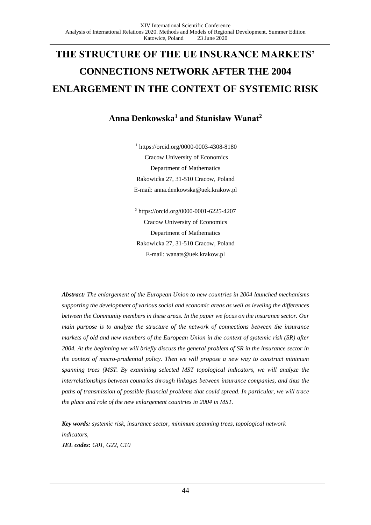# **THE STRUCTURE OF THE UE INSURANCE MARKETS' CONNECTIONS NETWORK AFTER THE 2004 ENLARGEMENT IN THE CONTEXT OF SYSTEMIC RISK**

# **Anna Denkowska<sup>1</sup> and Stanisław Wanat<sup>2</sup>**

<sup>1</sup> https://orcid.org/0000-0003-4308-8180 Cracow University of Economics Department of Mathematics Rakowicka 27, 31-510 Cracow, Poland E-mail[: anna.denkowska@uek.krakow.pl](mailto:anna.denkowska@uek.krakow.pl)

**<sup>2</sup>** https://orcid.org/0000-0001-6225-4207 Cracow University of Economics Department of Mathematics Rakowicka 27, 31-510 Cracow, Poland E-mail: [wanats@uek.krakow.pl](mailto:wanats@uek.krakow.pl)

*Abstract: The enlargement of the European Union to new countries in 2004 launched mechanisms supporting the development of various social and economic areas as well as leveling the differences between the Community members in these areas. In the paper we focus on the insurance sector. Our main purpose is to analyze the structure of the network of connections between the insurance markets of old and new members of the European Union in the context of systemic risk (SR) after 2004. At the beginning we will briefly discuss the general problem of SR in the insurance sector in the context of macro-prudential policy. Then we will propose a new way to construct minimum spanning trees (MST. By examining selected MST topological indicators, we will analyze the interrelationships between countries through linkages between insurance companies, and thus the paths of transmission of possible financial problems that could spread. In particular, we will trace the place and role of the new enlargement countries in 2004 in MST.*

*Key words: systemic risk, insurance sector, minimum spanning trees, topological network indicators, JEL codes: G01, G22, C10*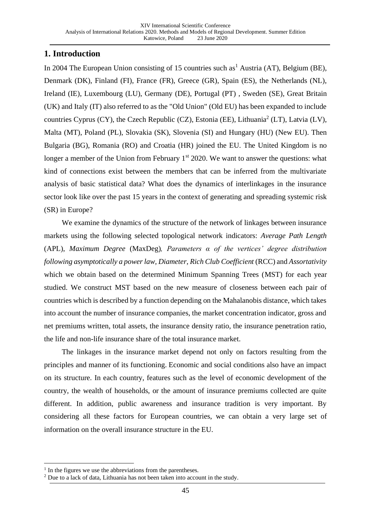# **1. Introduction**

In 2004 The European Union consisting of 15 countries such as<sup>1</sup> Austria (AT), Belgium (BE), Denmark (DK), Finland (FI), France (FR), Greece (GR), Spain (ES), the Netherlands (NL), Ireland (IE), Luxembourg (LU), Germany (DE), Portugal (PT) , Sweden (SE), Great Britain (UK) and Italy (IT) also referred to as the "Old Union" (Old EU) has been expanded to include countries Cyprus (CY), the Czech Republic (CZ), Estonia (EE), Lithuania<sup>2</sup> (LT), Latvia (LV), Malta (MT), Poland (PL), Slovakia (SK), Slovenia (SI) and Hungary (HU) (New EU). Then Bulgaria (BG), Romania (RO) and Croatia (HR) joined the EU. The United Kingdom is no longer a member of the Union from February  $1<sup>st</sup> 2020$ . We want to answer the questions: what kind of connections exist between the members that can be inferred from the multivariate analysis of basic statistical data? What does the dynamics of interlinkages in the insurance sector look like over the past 15 years in the context of generating and spreading systemic risk (SR) in Europe?

We examine the dynamics of the structure of the network of linkages between insurance markets using the following selected topological network indicators: *Average Path Length* (APL), *Maximum Degree* (MaxDeg)*, Parameters α of the vertices' degree distribution following asymptotically a power law, Diameter*, *Rich Club Coefficient* (RCC) and *Assortativity* which we obtain based on the determined Minimum Spanning Trees (MST) for each year studied. We construct MST based on the new measure of closeness between each pair of countries which is described by a function depending on the Mahalanobis distance, which takes into account the number of insurance companies, the market concentration indicator, gross and net premiums written, total assets, the insurance density ratio, the insurance penetration ratio, the life and non-life insurance share of the total insurance market.

The linkages in the insurance market depend not only on factors resulting from the principles and manner of its functioning. Economic and social conditions also have an impact on its structure. In each country, features such as the level of economic development of the country, the wealth of households, or the amount of insurance premiums collected are quite different. In addition, public awareness and insurance tradition is very important. By considering all these factors for European countries, we can obtain a very large set of information on the overall insurance structure in the EU.

<sup>&</sup>lt;sup>1</sup> In the figures we use the abbreviations from the parentheses.

 $2$  Due to a lack of data, Lithuania has not been taken into account in the study.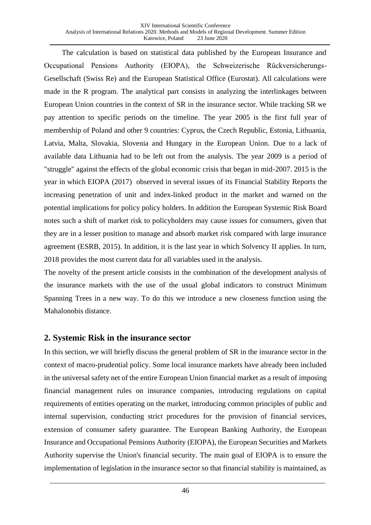The calculation is based on statistical data published by the European Insurance and Occupational Pensions Authority (EIOPA), the Schweizerische Rückversicherungs-Gesellschaft (Swiss Re) and the European Statistical Office (Eurostat). All calculations were made in the R program. The analytical part consists in analyzing the interlinkages between European Union countries in the context of SR in the insurance sector. While tracking SR we pay attention to specific periods on the timeline. The year 2005 is the first full year of membership of Poland and other 9 countries: Cyprus, the Czech Republic, Estonia, Lithuania, Latvia, Malta, Slovakia, Slovenia and Hungary in the European Union. Due to a lack of available data Lithuania had to be left out from the analysis. The year 2009 is a period of "struggle" against the effects of the global economic crisis that began in mid-2007. 2015 is the year in which EIOPA (2017) observed in several issues of its Financial Stability Reports the increasing penetration of unit and index-linked product in the market and warned on the potential implications for policy policy holders. In addition the European Systemic Risk Board notes such a shift of market risk to policyholders may cause issues for consumers, given that they are in a lesser position to manage and absorb market risk compared with large insurance agreement (ESRB, 2015). In addition, it is the last year in which Solvency II applies. In turn, 2018 provides the most current data for all variables used in the analysis.

The novelty of the present article consists in the combination of the development analysis of the insurance markets with the use of the usual global indicators to construct Minimum Spanning Trees in a new way. To do this we introduce a new closeness function using the Mahalonobis distance.

## **2. Systemic Risk in the insurance sector**

In this section, we will briefly discuss the general problem of SR in the insurance sector in the context of macro-prudential policy. Some local insurance markets have already been included in the universal safety net of the entire European Union financial market as a result of imposing financial management rules on insurance companies, introducing regulations on capital requirements of entities operating on the market, introducing common principles of public and internal supervision, conducting strict procedures for the provision of financial services, extension of consumer safety guarantee. The European Banking Authority, the European Insurance and Occupational Pensions Authority (EIOPA), the European Securities and Markets Authority supervise the Union's financial security. The main goal of EIOPA is to ensure the implementation of legislation in the insurance sector so that financial stability is maintained, as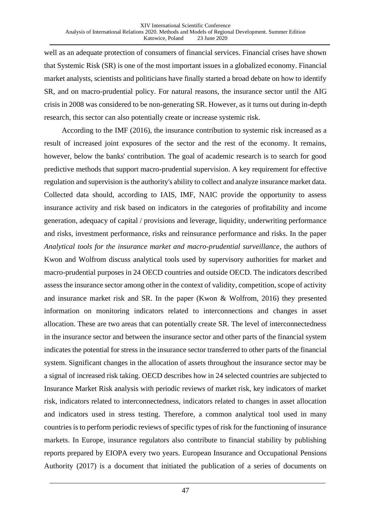well as an adequate protection of consumers of financial services. Financial crises have shown that Systemic Risk (SR) is one of the most important issues in a globalized economy. Financial market analysts, scientists and politicians have finally started a broad debate on how to identify SR, and on macro-prudential policy. For natural reasons, the insurance sector until the AIG crisis in 2008 was considered to be non-generating SR. However, as it turns out during in-depth research, this sector can also potentially create or increase systemic risk.

According to the IMF (2016), the insurance contribution to systemic risk increased as a result of increased joint exposures of the sector and the rest of the economy. It remains, however, below the banks' contribution. The goal of academic research is to search for good predictive methods that support macro-prudential supervision. A key requirement for effective regulation and supervision is the authority's ability to collect and analyze insurance market data. Collected data should, according to IAIS, IMF, NAIC provide the opportunity to assess insurance activity and risk based on indicators in the categories of profitability and income generation, adequacy of capital / provisions and leverage, liquidity, underwriting performance and risks, investment performance, risks and reinsurance performance and risks. In the paper *Analytical tools for the insurance market and macro-prudential surveillance*, the authors of Kwon and Wolfrom discuss analytical tools used by supervisory authorities for market and macro-prudential purposes in 24 OECD countries and outside OECD. The indicators described assess the insurance sector among other in the context of validity, competition, scope of activity and insurance market risk and SR. In the paper (Kwon & Wolfrom, 2016) they presented information on monitoring indicators related to interconnections and changes in asset allocation. These are two areas that can potentially create SR. The level of interconnectedness in the insurance sector and between the insurance sector and other parts of the financial system indicates the potential for stress in the insurance sector transferred to other parts of the financial system. Significant changes in the allocation of assets throughout the insurance sector may be a signal of increased risk taking. OECD describes how in 24 selected countries are subjected to Insurance Market Risk analysis with periodic reviews of market risk, key indicators of market risk, indicators related to interconnectedness, indicators related to changes in asset allocation and indicators used in stress testing. Therefore, a common analytical tool used in many countries is to perform periodic reviews of specific types of risk for the functioning of insurance markets. In Europe, insurance regulators also contribute to financial stability by publishing reports prepared by EIOPA every two years. European Insurance and Occupational Pensions Authority (2017) is a document that initiated the publication of a series of documents on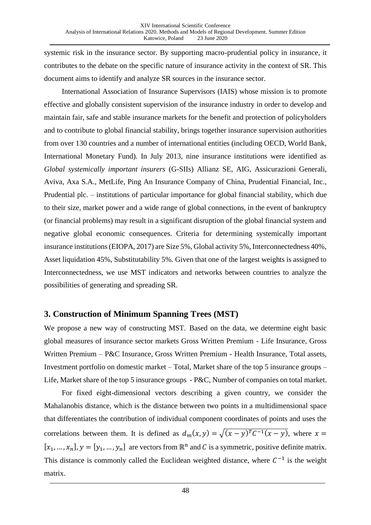systemic risk in the insurance sector. By supporting macro-prudential policy in insurance, it contributes to the debate on the specific nature of insurance activity in the context of SR. This document aims to identify and analyze SR sources in the insurance sector.

International Association of Insurance Supervisors (IAIS) whose mission is to promote effective and globally consistent supervision of the insurance industry in order to develop and maintain fair, safe and stable insurance markets for the benefit and protection of policyholders and to contribute to global financial stability, brings together insurance supervision authorities from over 130 countries and a number of international entities (including OECD, World Bank, International Monetary Fund). In July 2013, nine insurance institutions were identified as *Global systemically important insurers* (G-SIIs) Allianz SE, AIG, Assicurazioni Generali, Aviva, Axa S.A., MetLife, Ping An Insurance Company of China, Prudential Financial, Inc., Prudential plc. – institutions of particular importance for global financial stability, which due to their size, market power and a wide range of global connections, in the event of bankruptcy (or financial problems) may result in a significant disruption of the global financial system and negative global economic consequences. Criteria for determining systemically important insurance institutions (EIOPA, 2017) are Size 5%, Global activity 5%, Interconnectedness 40%, Asset liquidation 45%, Substitutability 5%. Given that one of the largest weights is assigned to Interconnectedness, we use MST indicators and networks between countries to analyze the possibilities of generating and spreading SR.

## **3. Construction of Minimum Spanning Trees (MST)**

We propose a new way of constructing MST. Based on the data, we determine eight basic global measures of insurance sector markets Gross Written Premium - Life Insurance, Gross Written Premium – P&C Insurance, Gross Written Premium - Health Insurance, Total assets, Investment portfolio on domestic market – Total, Market share of the top 5 insurance groups – Life, Market share of the top 5 insurance groups - P&C, Number of companies on total market.

For fixed eight-dimensional vectors describing a given country, we consider the Mahalanobis distance, which is the distance between two points in a multidimensional space that differentiates the contribution of individual component coordinates of points and uses the correlations between them. It is defined as  $d_m(x, y) = \sqrt{(x - y)^T C^{-1} (x - y)}$ , where  $x =$  $[x_1, ..., x_n], y = [y_1, ..., y_n]$  are vectors from  $\mathbb{R}^n$  and C is a symmetric, positive definite matrix. This distance is commonly called the Euclidean weighted distance, where  $C^{-1}$  is the weight matrix.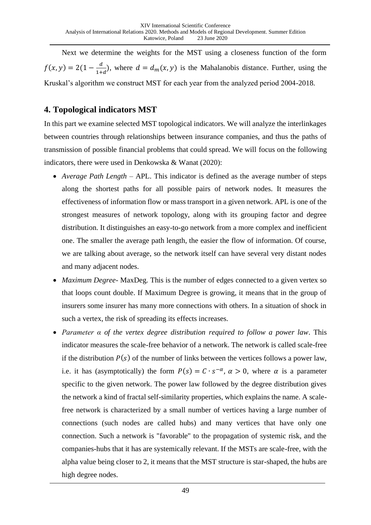Next we determine the weights for the MST using a closeness function of the form  $f(x, y) = 2(1 - \frac{d}{1+x})$  $\frac{u}{1+d}$ , where  $d = d_m(x, y)$  is the Mahalanobis distance. Further, using the Kruskal's algorithm we construct MST for each year from the analyzed period 2004-2018.

# **4. Topological indicators MST**

In this part we examine selected MST topological indicators. We will analyze the interlinkages between countries through relationships between insurance companies, and thus the paths of transmission of possible financial problems that could spread. We will focus on the following indicators, there were used in Denkowska & Wanat (2020):

- *Average Path Length –* APL. This indicator is defined as the average number of steps along the shortest paths for all possible pairs of network nodes. It measures the effectiveness of information flow or mass transport in a given network. APL is one of the strongest measures of network topology, along with its grouping factor and degree distribution. It distinguishes an easy-to-go network from a more complex and inefficient one. The smaller the average path length, the easier the flow of information. Of course, we are talking about average, so the network itself can have several very distant nodes and many adjacent nodes.
- *Maximum Degree-* MaxDeg*.* This is the number of edges connected to a given vertex so that loops count double. If Maximum Degree is growing, it means that in the group of insurers some insurer has many more connections with others. In a situation of shock in such a vertex, the risk of spreading its effects increases.
- *Parameter α of the vertex degree distribution required to follow a power law*. This indicator measures the scale-free behavior of a network. The network is called scale-free if the distribution  $P(s)$  of the number of links between the vertices follows a power law, i.e. it has (asymptotically) the form  $P(s) = C \cdot s^{-\alpha}$ ,  $\alpha > 0$ , where  $\alpha$  is a parameter specific to the given network. The power law followed by the degree distribution gives the network a kind of fractal self-similarity properties, which explains the name. A scalefree network is characterized by a small number of vertices having a large number of connections (such nodes are called hubs) and many vertices that have only one connection. Such a network is "favorable" to the propagation of systemic risk, and the companies-hubs that it has are systemically relevant. If the MSTs are scale-free, with the alpha value being closer to 2, it means that the MST structure is star-shaped, the hubs are high degree nodes.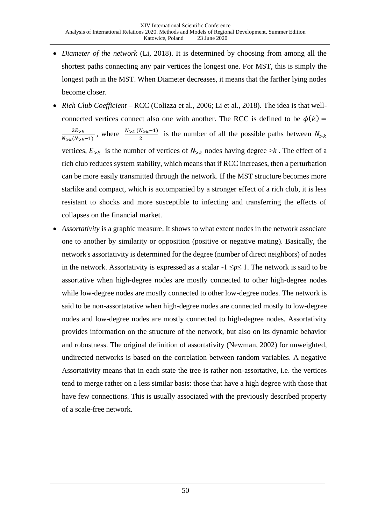- *Diameter of the network* (Li, 2018). It is determined by choosing from among all the shortest paths connecting any pair vertices the longest one. For MST, this is simply the longest path in the MST. When Diameter decreases, it means that the farther lying nodes become closer.
- *Rich Club Coefficient –* RCC (Colizza et al., 2006; Li et al., 2018)*.* The idea is that wellconnected vertices connect also one with another. The RCC is defined to be  $\phi(k)$  =  $2E_{>k}$  $\frac{2E_{\ge k}}{N_{\ge k}(N_{\ge k}-1)}$ , where  $\frac{N_{\ge k}(N_{\ge k}-1)}{2}$  is the number of all the possible paths between  $N_{\ge k}$ vertices,  $E_{>k}$  is the number of vertices of  $N_{>k}$  nodes having degree  $>k$ . The effect of a rich club reduces system stability, which means that if RCC increases, then a perturbation can be more easily transmitted through the network. If the MST structure becomes more starlike and compact, which is accompanied by a stronger effect of a rich club, it is less resistant to shocks and more susceptible to infecting and transferring the effects of collapses on the financial market.
- *Assortativity* is a graphic measure. It shows to what extent nodes in the network associate one to another by similarity or opposition (positive or negative mating). Basically, the network's assortativity is determined for the degree (number of direct neighbors) of nodes in the network. Assortativity is expressed as a scalar  $-1 \leq p \leq 1$ . The network is said to be assortative when high-degree nodes are mostly connected to other high-degree nodes while low-degree nodes are mostly connected to other low-degree nodes. The network is said to be non-assortatative when high-degree nodes are connected mostly to low-degree nodes and low-degree nodes are mostly connected to high-degree nodes. Assortativity provides information on the structure of the network, but also on its dynamic behavior and robustness. The original definition of assortativity (Newman, 2002) for unweighted, undirected networks is based on the correlation between random variables. A negative Assortativity means that in each state the tree is rather non-assortative, i.e. the vertices tend to merge rather on a less similar basis: those that have a high degree with those that have few connections. This is usually associated with the previously described property of a scale-free network.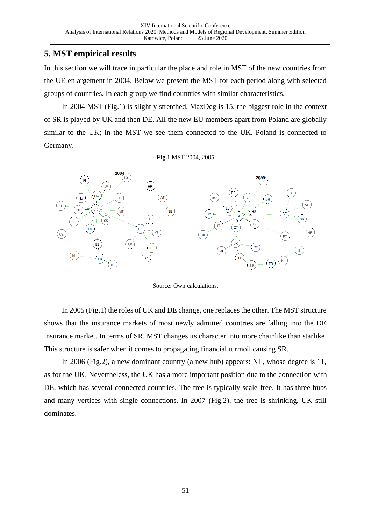# **5. MST empirical results**

In this section we will trace in particular the place and role in MST of the new countries from the UE enlargement in 2004. Below we present the MST for each period along with selected groups of countries. In each group we find countries with similar characteristics.

In 2004 MST (Fig.1) is slightly stretched, MaxDeg is 15, the biggest role in the context of SR is played by UK and then DE. All the new EU members apart from Poland are globally similar to the UK; in the MST we see them connected to the UK. Poland is connected to Germany.

**Fig.1** MST 2004, 2005



Source: Own calculations.

In 2005 (Fig.1) the roles of UK and DE change, one replaces the other. The MST structure shows that the insurance markets of most newly admitted countries are falling into the DE insurance market. In terms of SR, MST changes its character into more chainlike than starlike. This structure is safer when it comes to propagating financial turmoil causing SR.

In 2006 (Fig.2), a new dominant country (a new hub) appears: NL, whose degree is 11, as for the UK. Nevertheless, the UK has a more important position due to the connection with DE, which has several connected countries. The tree is typically scale-free. It has three hubs and many vertices with single connections. In 2007 (Fig.2), the tree is shrinking. UK still dominates.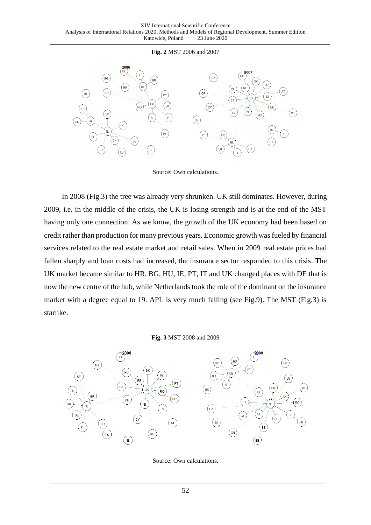### **Fig. 2** MST 2006 and 2007



#### Source: Own calculations.

In 2008 (Fig.3) the tree was already very shrunken. UK still dominates. However, during 2009, i.e. in the middle of the crisis, the UK is losing strength and is at the end of the MST having only one connection. As we know, the growth of the UK economy had been based on credit rather than production for many previous years. Economic growth was fueled by financial services related to the real estate market and retail sales. When in 2009 real estate prices had fallen sharply and loan costs had increased, the insurance sector responded to this crisis. The UK market became similar to HR, BG, HU, IE, PT, IT and UK changed places with DE that is now the new centre of the hub, while Netherlands took the role of the dominant on the insurance market with a degree equal to 19. APL is very much falling (see Fig.9). The MST (Fig.3) is starlike.

#### **Fig. 3** MST 2008 and 2009



Source: Own calculations.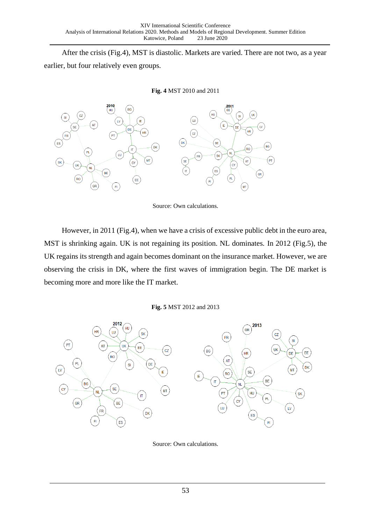After the crisis (Fig.4), MST is diastolic. Markets are varied. There are not two, as a year earlier, but four relatively even groups.

### **Fig. 4** MST 2010 and 2011



Source: Own calculations.

However, in 2011 (Fig.4), when we have a crisis of excessive public debt in the euro area, MST is shrinking again. UK is not regaining its position. NL dominates. In 2012 (Fig.5), the UK regains its strength and again becomes dominant on the insurance market. However, we are observing the crisis in DK, where the first waves of immigration begin. The DE market is becoming more and more like the IT market.

### **Fig. 5** MST 2012 and 2013



Source: Own calculations.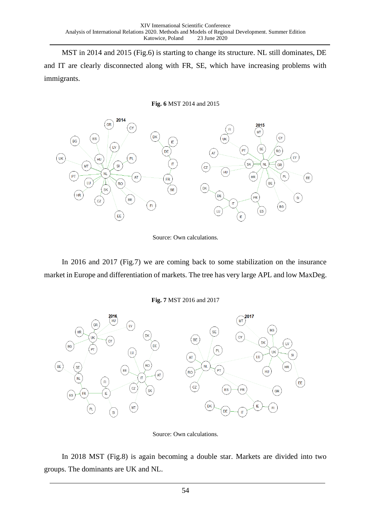MST in 2014 and 2015 (Fig.6) is starting to change its structure. NL still dominates, DE and IT are clearly disconnected along with FR, SE, which have increasing problems with immigrants.

### **Fig. 6** MST 2014 and 2015



Source: Own calculations.

In 2016 and 2017 (Fig.7) we are coming back to some stabilization on the insurance market in Europe and differentiation of markets. The tree has very large APL and low MaxDeg.

**Fig. 7** MST 2016 and 2017



Source: Own calculations.

In 2018 MST (Fig.8) is again becoming a double star. Markets are divided into two groups. The dominants are UK and NL.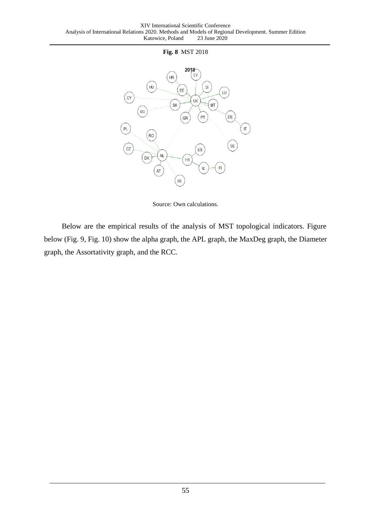### **Fig. 8** MST 2018



Source: Own calculations.

Below are the empirical results of the analysis of MST topological indicators. Figure below (Fig. 9, Fig. 10) show the alpha graph, the APL graph, the MaxDeg graph, the Diameter graph, the Assortativity graph, and the RCC.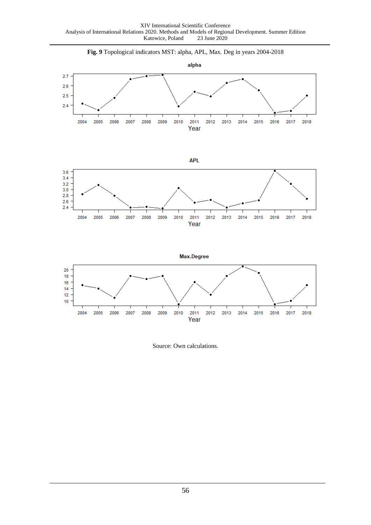

Source: Own calculations.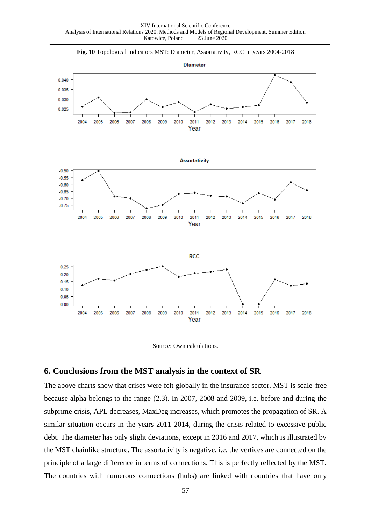

![](_page_13_Figure_2.jpeg)

![](_page_13_Figure_3.jpeg)

### **6. Conclusions from the MST analysis in the context of SR**

The above charts show that crises were felt globally in the insurance sector. MST is scale-free because alpha belongs to the range (2,3). In 2007, 2008 and 2009, i.e. before and during the subprime crisis, APL decreases, MaxDeg increases, which promotes the propagation of SR. A similar situation occurs in the years 2011-2014, during the crisis related to excessive public debt. The diameter has only slight deviations, except in 2016 and 2017, which is illustrated by the MST chainlike structure. The assortativity is negative, i.e. the vertices are connected on the principle of a large difference in terms of connections. This is perfectly reflected by the MST. The countries with numerous connections (hubs) are linked with countries that have only